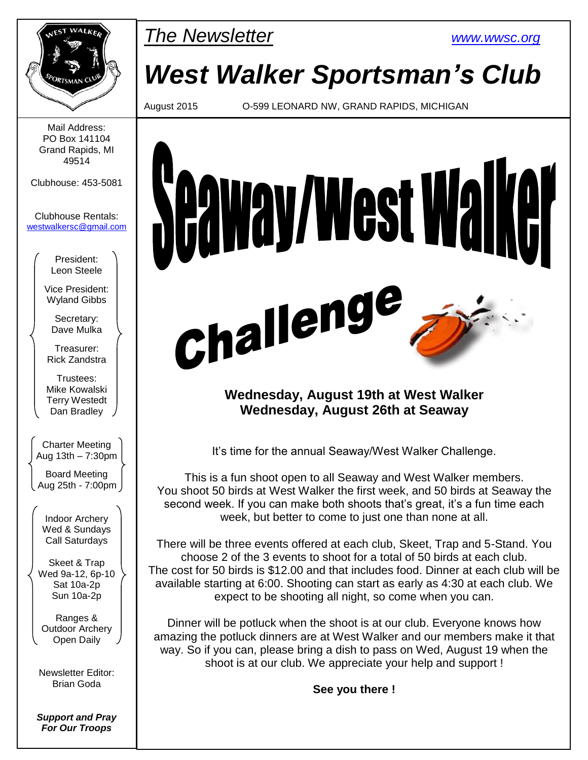

Mail Address: PO Box 141104 Grand Rapids, MI 49514

Clubhouse: 453-5081

Clubhouse Rentals: [westwalkersc@gmail.com](mailto:westwalkersc@gmail.com)

> President: Leon Steele

Vice President: Wyland Gibbs

Secretary: Dave Mulka

Treasurer: Rick Zandstra

Trustees: Mike Kowalski Terry Westedt Dan Bradley

Charter Meeting Aug 13th – 7:30pm

Board Meeting Aug 25th - 7:00pm

Indoor Archery Wed & Sundays Call Saturdays

Skeet & Trap Wed 9a-12, 6p-10 Sat 10a-2p Sun 10a-2p

Ranges & Outdoor Archery Open Daily

Newsletter Editor: Brian Goda

*Support and Pray For Our Troops*



*West Walker Sportsman's Club*

August 2015 O-599 LEONARD NW, GRAND RAPIDS, MICHIGAN



## **Wednesday, August 19th at West Walker Wednesday, August 26th at Seaway**

It's time for the annual Seaway/West Walker Challenge.

This is a fun shoot open to all Seaway and West Walker members. You shoot 50 birds at West Walker the first week, and 50 birds at Seaway the second week. If you can make both shoots that's great, it's a fun time each week, but better to come to just one than none at all.

There will be three events offered at each club, Skeet, Trap and 5-Stand. You choose 2 of the 3 events to shoot for a total of 50 birds at each club. The cost for 50 birds is \$12.00 and that includes food. Dinner at each club will be available starting at 6:00. Shooting can start as early as 4:30 at each club. We expect to be shooting all night, so come when you can.

Dinner will be potluck when the shoot is at our club. Everyone knows how amazing the potluck dinners are at West Walker and our members make it that way. So if you can, please bring a dish to pass on Wed, August 19 when the shoot is at our club. We appreciate your help and support !

**See you there !**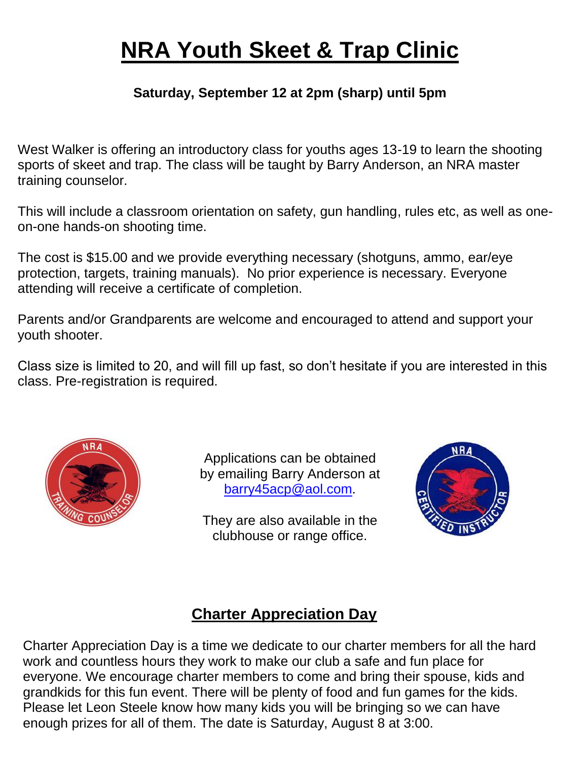# **NRA Youth Skeet & Trap Clinic**

## **Saturday, September 12 at 2pm (sharp) until 5pm**

West Walker is offering an introductory class for youths ages 13-19 to learn the shooting sports of skeet and trap. The class will be taught by Barry Anderson, an NRA master training counselor.

This will include a classroom orientation on safety, gun handling, rules etc, as well as oneon-one hands-on shooting time.

The cost is \$15.00 and we provide everything necessary (shotguns, ammo, ear/eye protection, targets, training manuals). No prior experience is necessary. Everyone attending will receive a certificate of completion.

Parents and/or Grandparents are welcome and encouraged to attend and support your youth shooter.

Class size is limited to 20, and will fill up fast, so don't hesitate if you are interested in this class. Pre-registration is required.



Applications can be obtained by emailing Barry Anderson at [barry45acp@aol.com.](mailto:barry45acp@aol.com)

They are also available in the clubhouse or range office.



## **Charter Appreciation Day**

Charter Appreciation Day is a time we dedicate to our charter members for all the hard work and countless hours they work to make our club a safe and fun place for everyone. We encourage charter members to come and bring their spouse, kids and grandkids for this fun event. There will be plenty of food and fun games for the kids. Please let Leon Steele know how many kids you will be bringing so we can have enough prizes for all of them. The date is Saturday, August 8 at 3:00.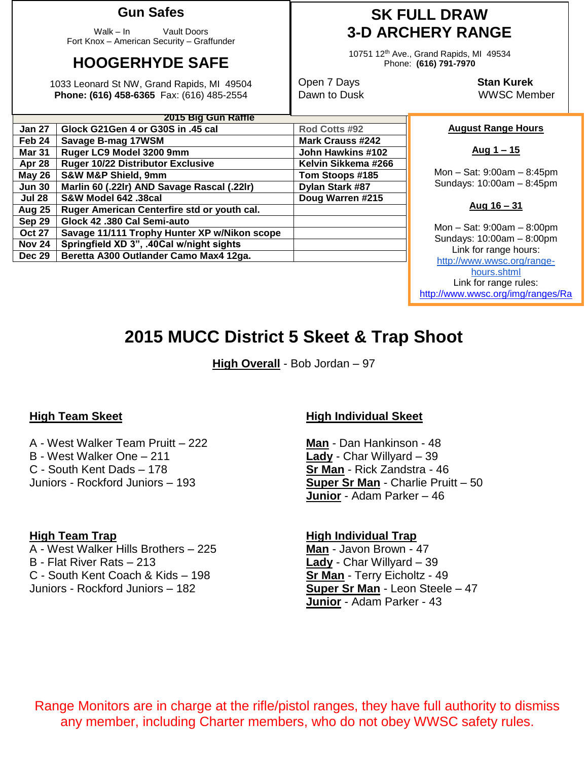## **Gun Safes**

Walk – In Vault Doors Fort Knox – American Security – Graffunder

## **HOOGERHYDE SAFE**

1033 Leonard St NW, Grand Rapids, MI 49504 **Phone: (616) 458-6365** Fax: (616) 485-2554

## **SK FULL DRAW 3-D ARCHERY RANGE**

10751 12th Ave., Grand Rapids, MI 49534 Phone: **(616) 791-7970**

Open 7 Days **Stan Kurek**

Dawn to Dusk WWSC Member

#### **August Range Hours**

**Aug 1 – 15**

Mon – Sat: 9:00am – 8:45pm Sundays: 10:00am – 8:45pm

#### **Aug 16 – 31**

Mon – Sat: 9:00am – 8:00pm Sundays: 10:00am – 8:00pm Link for range hours: [http://www.wwsc.org/range](http://www.wwsc.org/range-hours.shtml)[hours.shtml](http://www.wwsc.org/range-hours.shtml) Link for range rules: http://www.wwsc.org/img/ranges/Ra

ngeRules.pdf

## **2015 MUCC District 5 Skeet & Trap Shoot**

**High Overall** - Bob Jordan – 97

A - West Walker Team Pruitt – 222 **Man** - Dan Hankinson - 48 B - West Walker One – 211 **Lady** - Char Willyard – 39 C - South Kent Dads – 178 **Sr Man** - Rick Zandstra - 46 Juniors - Rockford Juniors – 193 **Super Sr Man** - Charlie Pruitt – 50

A - West Walker Hills Brothers – 225 **Man** - Javon Brown - 47 B - Flat River Rats – 213 **Lady** - Char Willyard – 39 C - South Kent Coach & Kids – 198 **Sr Man** - Terry Eicholtz - 49 Juniors - Rockford Juniors – 182 **Super Sr Man** - Leon Steele – 47

### **High Team Skeet High Individual Skeet**

**Junior** - Adam Parker – 46

# **High Team Trap High Individual Trap Junior** - Adam Parker - 43

Range Monitors are in charge at the rifle/pistol ranges, they have full authority to dismiss any member, including Charter members, who do not obey WWSC safety rules.

| 2015 Big Gun Raffle |                                              |                         |  |  |  |  |
|---------------------|----------------------------------------------|-------------------------|--|--|--|--|
| Jan 27              | Glock G21Gen 4 or G30S in .45 cal            | Rod Cotts #92           |  |  |  |  |
| Feb 24              | Savage B-mag 17WSM                           | <b>Mark Crauss #242</b> |  |  |  |  |
| <b>Mar 31</b>       | Ruger LC9 Model 3200 9mm                     | John Hawkins #102       |  |  |  |  |
| Apr 28              | Ruger 10/22 Distributor Exclusive            | Kelvin Sikkema #266     |  |  |  |  |
| <b>May 26</b>       | <b>S&amp;W M&amp;P Shield, 9mm</b>           | Tom Stoops #185         |  |  |  |  |
| <b>Jun 30</b>       | Marlin 60 (.22lr) AND Savage Rascal (.22lr)  | Dylan Stark #87         |  |  |  |  |
| <b>Jul 28</b>       | S&W Model 642 .38cal                         | Doug Warren #215        |  |  |  |  |
| <b>Aug 25</b>       | Ruger American Centerfire std or youth cal.  |                         |  |  |  |  |
| Sep 29              | Glock 42 .380 Cal Semi-auto                  |                         |  |  |  |  |
| <b>Oct 27</b>       | Savage 11/111 Trophy Hunter XP w/Nikon scope |                         |  |  |  |  |
| <b>Nov 24</b>       | Springfield XD 3", .40Cal w/night sights     |                         |  |  |  |  |
| <b>Dec 29</b>       | Beretta A300 Outlander Camo Max4 12ga.       |                         |  |  |  |  |